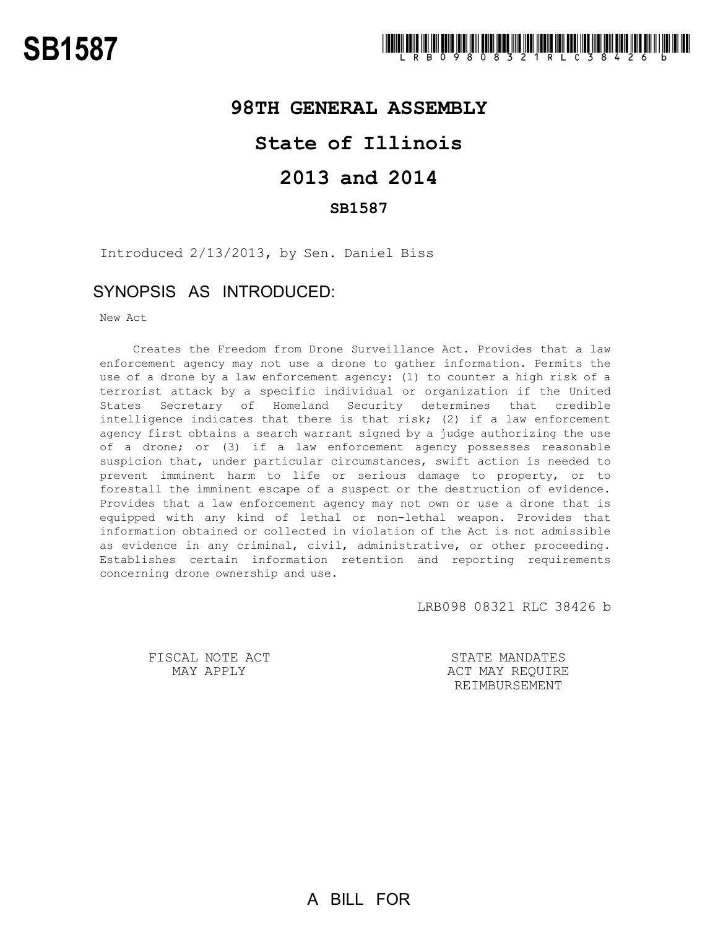## **98TH GENERAL ASSEMBLY**

## **State of Illinois**

# **2013 and 2014**

### **SB1587**

Introduced 2/13/2013, by Sen. Daniel Biss

### SYNOPSIS AS INTRODUCED:

New Act

Creates the Freedom from Drone Surveillance Act. Provides that a law enforcement agency may not use a drone to gather information. Permits the use of a drone by a law enforcement agency: (1) to counter a high risk of a terrorist attack by a specific individual or organization if the United States Secretary of Homeland Security determines that credible intelligence indicates that there is that risk; (2) if a law enforcement agency first obtains a search warrant signed by a judge authorizing the use of a drone; or (3) if a law enforcement agency possesses reasonable suspicion that, under particular circumstances, swift action is needed to prevent imminent harm to life or serious damage to property, or to forestall the imminent escape of a suspect or the destruction of evidence. Provides that a law enforcement agency may not own or use a drone that is equipped with any kind of lethal or non-lethal weapon. Provides that information obtained or collected in violation of the Act is not admissible as evidence in any criminal, civil, administrative, or other proceeding. Establishes certain information retention and reporting requirements concerning drone ownership and use.

LRB098 08321 RLC 38426 b

FISCAL NOTE ACT MAY APPLY

STATE MANDATES ACT MAY REQUIRE REIMBURSEMENT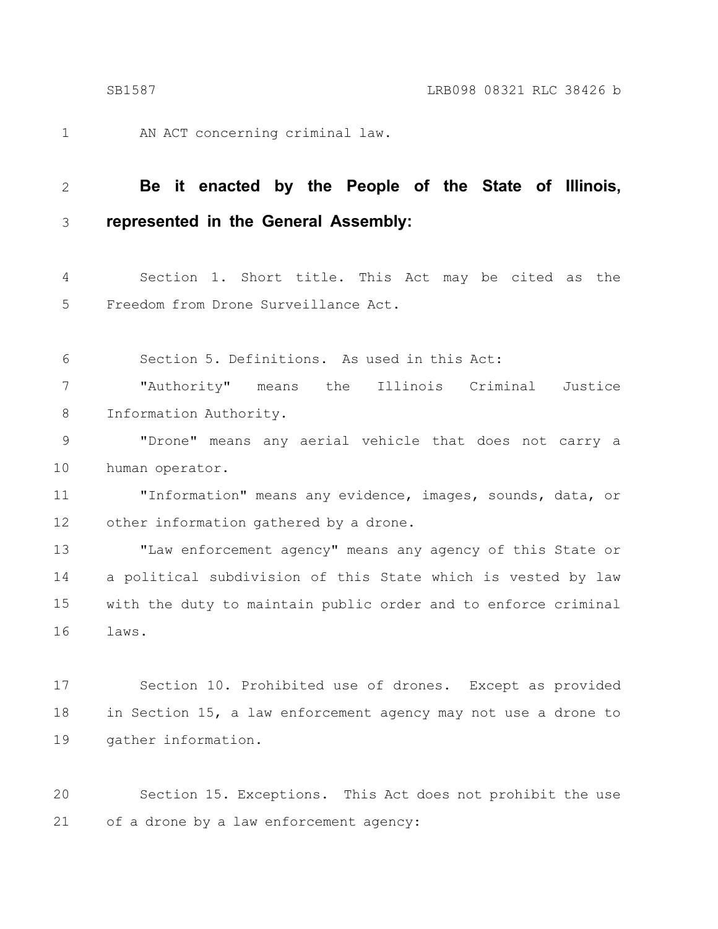1

AN ACT concerning criminal law.

#### **Be it enacted by the People of the State of Illinois, represented in the General Assembly:** 2 3

Section 1. Short title. This Act may be cited as the Freedom from Drone Surveillance Act. 4 5

Section 5. Definitions. As used in this Act: 6

"Authority" means the Illinois Criminal Justice Information Authority. 7 8

"Drone" means any aerial vehicle that does not carry a human operator. 9 10

"Information" means any evidence, images, sounds, data, or other information gathered by a drone. 11 12

"Law enforcement agency" means any agency of this State or a political subdivision of this State which is vested by law with the duty to maintain public order and to enforce criminal laws. 13 14 15 16

Section 10. Prohibited use of drones. Except as provided in Section 15, a law enforcement agency may not use a drone to gather information. 17 18 19

Section 15. Exceptions. This Act does not prohibit the use of a drone by a law enforcement agency: 20 21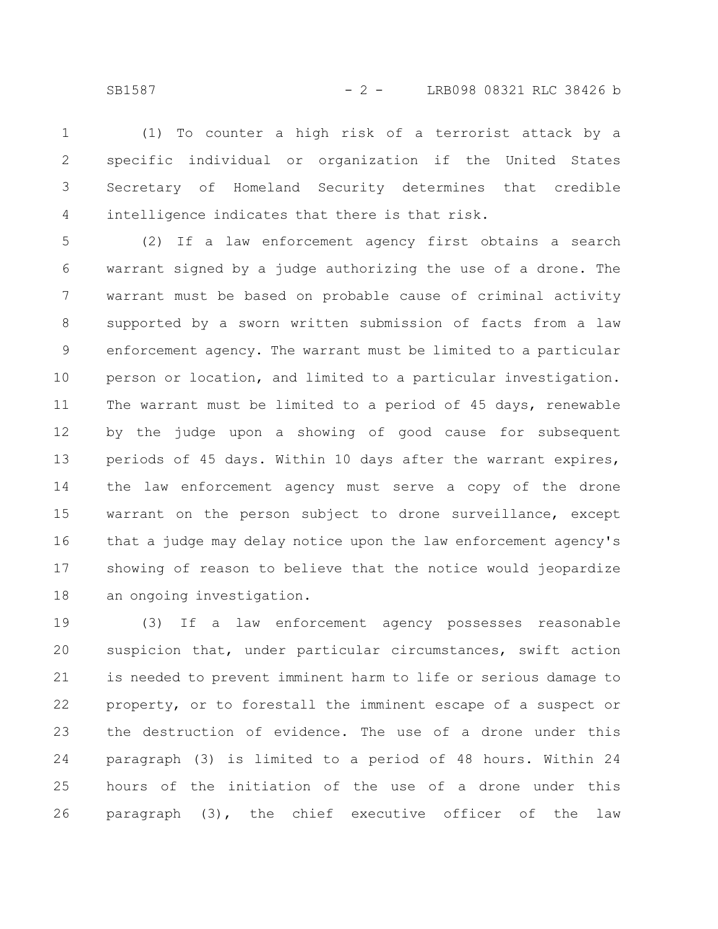(1) To counter a high risk of a terrorist attack by a specific individual or organization if the United States Secretary of Homeland Security determines that credible intelligence indicates that there is that risk. 1 2 3 4

(2) If a law enforcement agency first obtains a search warrant signed by a judge authorizing the use of a drone. The warrant must be based on probable cause of criminal activity supported by a sworn written submission of facts from a law enforcement agency. The warrant must be limited to a particular person or location, and limited to a particular investigation. The warrant must be limited to a period of 45 days, renewable by the judge upon a showing of good cause for subsequent periods of 45 days. Within 10 days after the warrant expires, the law enforcement agency must serve a copy of the drone warrant on the person subject to drone surveillance, except that a judge may delay notice upon the law enforcement agency's showing of reason to believe that the notice would jeopardize an ongoing investigation. 5 6 7 8 9 10 11 12 13 14 15 16 17 18

(3) If a law enforcement agency possesses reasonable suspicion that, under particular circumstances, swift action is needed to prevent imminent harm to life or serious damage to property, or to forestall the imminent escape of a suspect or the destruction of evidence. The use of a drone under this paragraph (3) is limited to a period of 48 hours. Within 24 hours of the initiation of the use of a drone under this paragraph (3), the chief executive officer of the law 19 20 21 22 23 24 25 26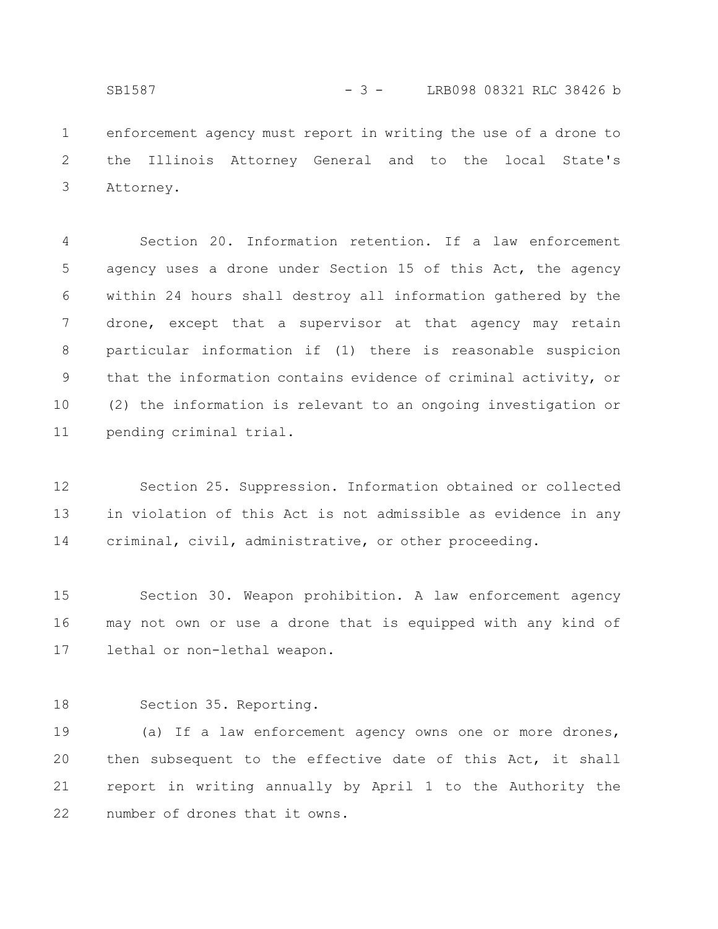enforcement agency must report in writing the use of a drone to the Illinois Attorney General and to the local State's SB1587 - 3 - LRB098 08321 RLC 38426 b

Attorney. 3

1

2

Section 20. Information retention. If a law enforcement agency uses a drone under Section 15 of this Act, the agency within 24 hours shall destroy all information gathered by the drone, except that a supervisor at that agency may retain particular information if (1) there is reasonable suspicion that the information contains evidence of criminal activity, or (2) the information is relevant to an ongoing investigation or pending criminal trial. 4 5 6 7 8 9 10 11

Section 25. Suppression. Information obtained or collected in violation of this Act is not admissible as evidence in any criminal, civil, administrative, or other proceeding. 12 13 14

Section 30. Weapon prohibition. A law enforcement agency may not own or use a drone that is equipped with any kind of lethal or non-lethal weapon. 15 16 17

Section 35. Reporting. 18

(a) If a law enforcement agency owns one or more drones, then subsequent to the effective date of this Act, it shall report in writing annually by April 1 to the Authority the number of drones that it owns. 19 20 21 22